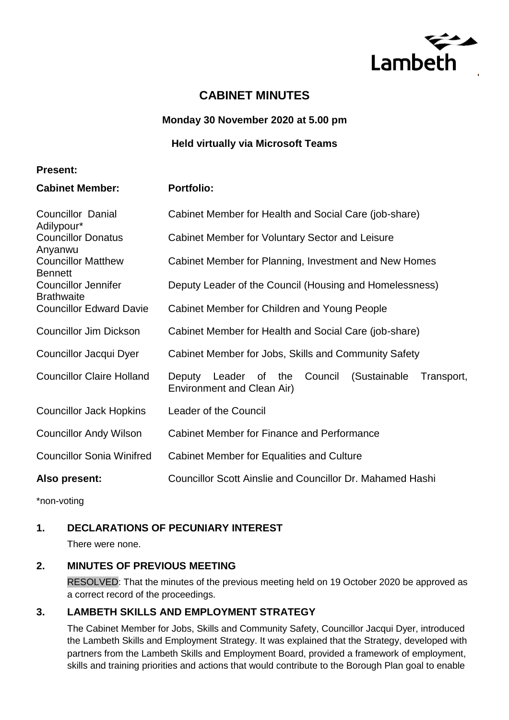

# **CABINET MINUTES**

**Monday 30 November 2020 at 5.00 pm**

**Held virtually via Microsoft Teams** 

#### **Present:**

**Cabinet Member: Portfolio:**

| <b>Councillor Danial</b><br>Adilypour*                 | Cabinet Member for Health and Social Care (job-share)                                             |
|--------------------------------------------------------|---------------------------------------------------------------------------------------------------|
| <b>Councillor Donatus</b>                              | Cabinet Member for Voluntary Sector and Leisure                                                   |
| Anyanwu<br><b>Councillor Matthew</b><br><b>Bennett</b> | Cabinet Member for Planning, Investment and New Homes                                             |
| <b>Councillor Jennifer</b><br><b>Brathwaite</b>        | Deputy Leader of the Council (Housing and Homelessness)                                           |
| <b>Councillor Edward Davie</b>                         | Cabinet Member for Children and Young People                                                      |
| <b>Councillor Jim Dickson</b>                          | Cabinet Member for Health and Social Care (job-share)                                             |
| Councillor Jacqui Dyer                                 | Cabinet Member for Jobs, Skills and Community Safety                                              |
| <b>Councillor Claire Holland</b>                       | the<br>Council<br>(Sustainable<br>Transport,<br>Leader of<br>Deputy<br>Environment and Clean Air) |
| <b>Councillor Jack Hopkins</b>                         | Leader of the Council                                                                             |
| <b>Councillor Andy Wilson</b>                          | Cabinet Member for Finance and Performance                                                        |
| <b>Councillor Sonia Winifred</b>                       | Cabinet Member for Equalities and Culture                                                         |
| Also present:                                          | <b>Councillor Scott Ainslie and Councillor Dr. Mahamed Hashi</b>                                  |

\*non-voting

# **1. DECLARATIONS OF PECUNIARY INTEREST**

There were none.

# **2. MINUTES OF PREVIOUS MEETING**

RESOLVED: That the minutes of the previous meeting held on 19 October 2020 be approved as a correct record of the proceedings.

# **3. LAMBETH SKILLS AND EMPLOYMENT STRATEGY**

The Cabinet Member for Jobs, Skills and Community Safety, Councillor Jacqui Dyer, introduced the Lambeth Skills and Employment Strategy. It was explained that the Strategy, developed with partners from the Lambeth Skills and Employment Board, provided a framework of employment, skills and training priorities and actions that would contribute to the Borough Plan goal to enable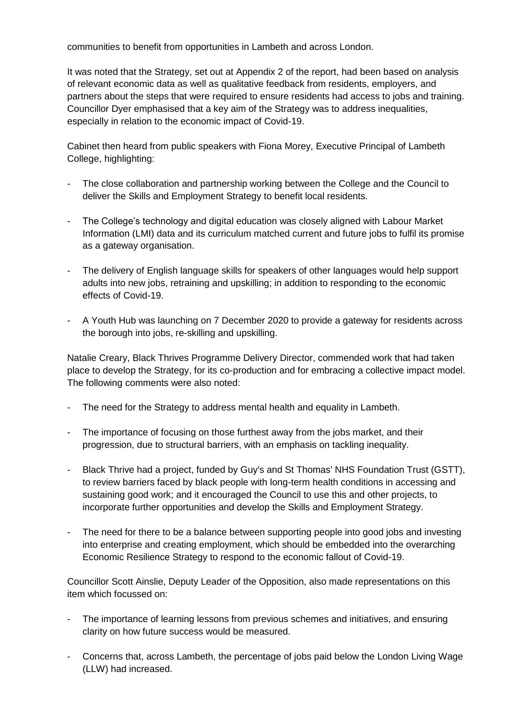communities to benefit from opportunities in Lambeth and across London.

It was noted that the Strategy, set out at Appendix 2 of the report, had been based on analysis of relevant economic data as well as qualitative feedback from residents, employers, and partners about the steps that were required to ensure residents had access to jobs and training. Councillor Dyer emphasised that a key aim of the Strategy was to address inequalities, especially in relation to the economic impact of Covid-19.

Cabinet then heard from public speakers with Fiona Morey, Executive Principal of Lambeth College, highlighting:

- The close collaboration and partnership working between the College and the Council to deliver the Skills and Employment Strategy to benefit local residents.
- The College's technology and digital education was closely aligned with Labour Market Information (LMI) data and its curriculum matched current and future jobs to fulfil its promise as a gateway organisation.
- The delivery of English language skills for speakers of other languages would help support adults into new jobs, retraining and upskilling; in addition to responding to the economic effects of Covid-19.
- A Youth Hub was launching on 7 December 2020 to provide a gateway for residents across the borough into jobs, re-skilling and upskilling.

Natalie Creary, Black Thrives Programme Delivery Director, commended work that had taken place to develop the Strategy, for its co-production and for embracing a collective impact model. The following comments were also noted:

- The need for the Strategy to address mental health and equality in Lambeth.
- The importance of focusing on those furthest away from the jobs market, and their progression, due to structural barriers, with an emphasis on tackling inequality.
- Black Thrive had a project, funded by Guy's and St Thomas' NHS Foundation Trust (GSTT), to review barriers faced by black people with long-term health conditions in accessing and sustaining good work; and it encouraged the Council to use this and other projects, to incorporate further opportunities and develop the Skills and Employment Strategy.
- The need for there to be a balance between supporting people into good jobs and investing into enterprise and creating employment, which should be embedded into the overarching Economic Resilience Strategy to respond to the economic fallout of Covid-19.

Councillor Scott Ainslie, Deputy Leader of the Opposition, also made representations on this item which focussed on:

- The importance of learning lessons from previous schemes and initiatives, and ensuring clarity on how future success would be measured.
- Concerns that, across Lambeth, the percentage of jobs paid below the London Living Wage (LLW) had increased.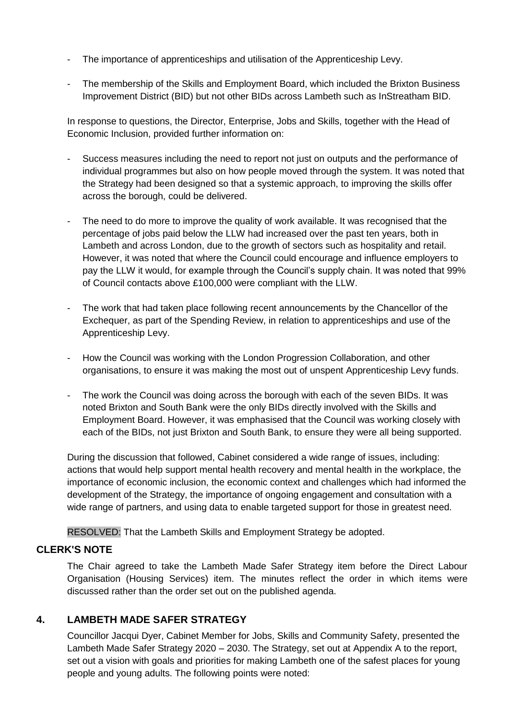- The importance of apprenticeships and utilisation of the Apprenticeship Levy.
- The membership of the Skills and Employment Board, which included the Brixton Business Improvement District (BID) but not other BIDs across Lambeth such as InStreatham BID.

In response to questions, the Director, Enterprise, Jobs and Skills, together with the Head of Economic Inclusion, provided further information on:

- Success measures including the need to report not just on outputs and the performance of individual programmes but also on how people moved through the system. It was noted that the Strategy had been designed so that a systemic approach, to improving the skills offer across the borough, could be delivered.
- The need to do more to improve the quality of work available. It was recognised that the percentage of jobs paid below the LLW had increased over the past ten years, both in Lambeth and across London, due to the growth of sectors such as hospitality and retail. However, it was noted that where the Council could encourage and influence employers to pay the LLW it would, for example through the Council's supply chain. It was noted that 99% of Council contacts above £100,000 were compliant with the LLW.
- The work that had taken place following recent announcements by the Chancellor of the Exchequer, as part of the Spending Review, in relation to apprenticeships and use of the Apprenticeship Levy.
- How the Council was working with the London Progression Collaboration, and other organisations, to ensure it was making the most out of unspent Apprenticeship Levy funds.
- The work the Council was doing across the borough with each of the seven BIDs. It was noted Brixton and South Bank were the only BIDs directly involved with the Skills and Employment Board. However, it was emphasised that the Council was working closely with each of the BIDs, not just Brixton and South Bank, to ensure they were all being supported.

During the discussion that followed, Cabinet considered a wide range of issues, including: actions that would help support mental health recovery and mental health in the workplace, the importance of economic inclusion, the economic context and challenges which had informed the development of the Strategy, the importance of ongoing engagement and consultation with a wide range of partners, and using data to enable targeted support for those in greatest need.

RESOLVED: That the Lambeth Skills and Employment Strategy be adopted.

#### **CLERK'S NOTE**

The Chair agreed to take the Lambeth Made Safer Strategy item before the Direct Labour Organisation (Housing Services) item. The minutes reflect the order in which items were discussed rather than the order set out on the published agenda.

# **4. LAMBETH MADE SAFER STRATEGY**

Councillor Jacqui Dyer, Cabinet Member for Jobs, Skills and Community Safety, presented the Lambeth Made Safer Strategy 2020 – 2030. The Strategy, set out at Appendix A to the report, set out a vision with goals and priorities for making Lambeth one of the safest places for young people and young adults. The following points were noted: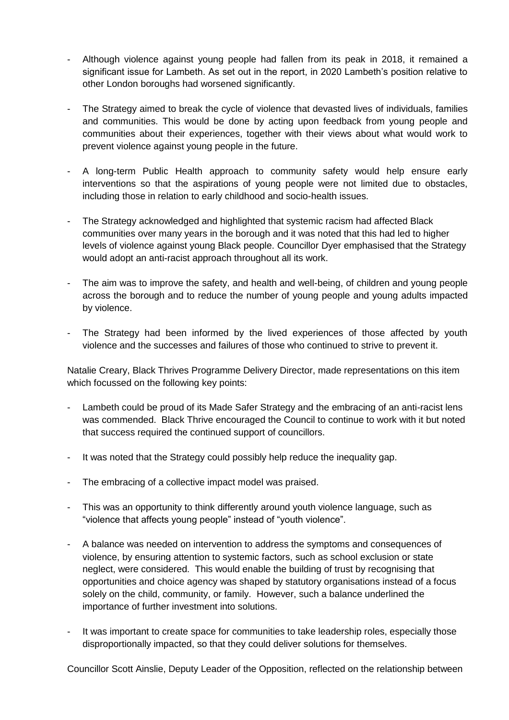- Although violence against young people had fallen from its peak in 2018, it remained a significant issue for Lambeth. As set out in the report, in 2020 Lambeth's position relative to other London boroughs had worsened significantly.
- The Strategy aimed to break the cycle of violence that devasted lives of individuals, families and communities. This would be done by acting upon feedback from young people and communities about their experiences, together with their views about what would work to prevent violence against young people in the future.
- A long-term Public Health approach to community safety would help ensure early interventions so that the aspirations of young people were not limited due to obstacles, including those in relation to early childhood and socio-health issues.
- The Strategy acknowledged and highlighted that systemic racism had affected Black communities over many years in the borough and it was noted that this had led to higher levels of violence against young Black people. Councillor Dyer emphasised that the Strategy would adopt an anti-racist approach throughout all its work.
- The aim was to improve the safety, and health and well-being, of children and young people across the borough and to reduce the number of young people and young adults impacted by violence.
- The Strategy had been informed by the lived experiences of those affected by youth violence and the successes and failures of those who continued to strive to prevent it.

Natalie Creary, Black Thrives Programme Delivery Director, made representations on this item which focussed on the following key points:

- Lambeth could be proud of its Made Safer Strategy and the embracing of an anti-racist lens was commended. Black Thrive encouraged the Council to continue to work with it but noted that success required the continued support of councillors.
- It was noted that the Strategy could possibly help reduce the inequality gap.
- The embracing of a collective impact model was praised.
- This was an opportunity to think differently around youth violence language, such as "violence that affects young people" instead of "youth violence".
- A balance was needed on intervention to address the symptoms and consequences of violence, by ensuring attention to systemic factors, such as school exclusion or state neglect, were considered. This would enable the building of trust by recognising that opportunities and choice agency was shaped by statutory organisations instead of a focus solely on the child, community, or family. However, such a balance underlined the importance of further investment into solutions.
- It was important to create space for communities to take leadership roles, especially those disproportionally impacted, so that they could deliver solutions for themselves.

Councillor Scott Ainslie, Deputy Leader of the Opposition, reflected on the relationship between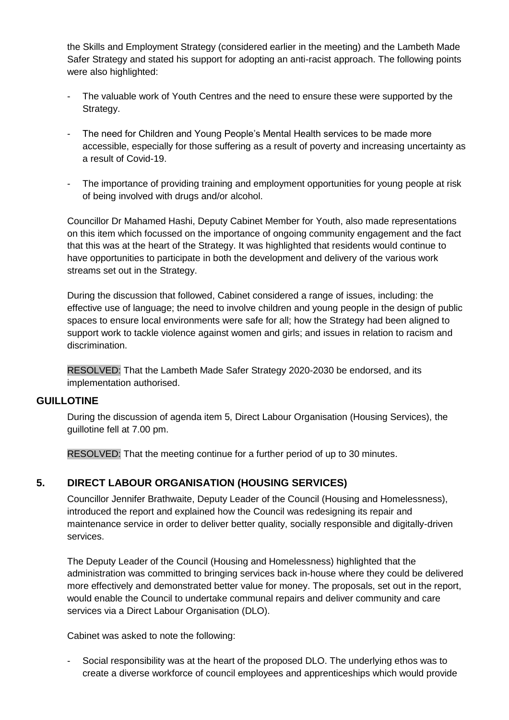the Skills and Employment Strategy (considered earlier in the meeting) and the Lambeth Made Safer Strategy and stated his support for adopting an anti-racist approach. The following points were also highlighted:

- The valuable work of Youth Centres and the need to ensure these were supported by the Strategy.
- The need for Children and Young People's Mental Health services to be made more accessible, especially for those suffering as a result of poverty and increasing uncertainty as a result of Covid-19.
- The importance of providing training and employment opportunities for young people at risk of being involved with drugs and/or alcohol.

Councillor Dr Mahamed Hashi, Deputy Cabinet Member for Youth, also made representations on this item which focussed on the importance of ongoing community engagement and the fact that this was at the heart of the Strategy. It was highlighted that residents would continue to have opportunities to participate in both the development and delivery of the various work streams set out in the Strategy.

During the discussion that followed, Cabinet considered a range of issues, including: the effective use of language; the need to involve children and young people in the design of public spaces to ensure local environments were safe for all; how the Strategy had been aligned to support work to tackle violence against women and girls; and issues in relation to racism and discrimination.

RESOLVED: That the Lambeth Made Safer Strategy 2020-2030 be endorsed, and its implementation authorised.

#### **GUILLOTINE**

During the discussion of agenda item 5, Direct Labour Organisation (Housing Services), the guillotine fell at 7.00 pm.

RESOLVED: That the meeting continue for a further period of up to 30 minutes.

# **5. DIRECT LABOUR ORGANISATION (HOUSING SERVICES)**

Councillor Jennifer Brathwaite, Deputy Leader of the Council (Housing and Homelessness), introduced the report and explained how the Council was redesigning its repair and maintenance service in order to deliver better quality, socially responsible and digitally-driven services.

The Deputy Leader of the Council (Housing and Homelessness) highlighted that the administration was committed to bringing services back in-house where they could be delivered more effectively and demonstrated better value for money. The proposals, set out in the report, would enable the Council to undertake communal repairs and deliver community and care services via a Direct Labour Organisation (DLO).

Cabinet was asked to note the following:

Social responsibility was at the heart of the proposed DLO. The underlying ethos was to create a diverse workforce of council employees and apprenticeships which would provide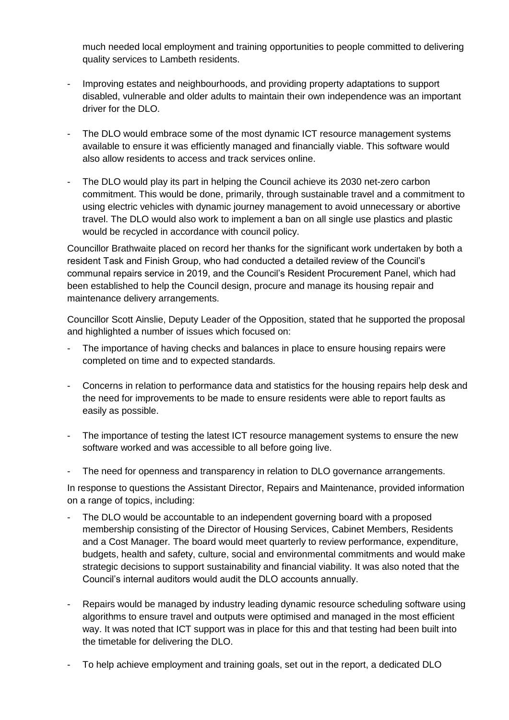much needed local employment and training opportunities to people committed to delivering quality services to Lambeth residents.

- Improving estates and neighbourhoods, and providing property adaptations to support disabled, vulnerable and older adults to maintain their own independence was an important driver for the DLO.
- The DLO would embrace some of the most dynamic ICT resource management systems available to ensure it was efficiently managed and financially viable. This software would also allow residents to access and track services online.
- The DLO would play its part in helping the Council achieve its 2030 net-zero carbon commitment. This would be done, primarily, through sustainable travel and a commitment to using electric vehicles with dynamic journey management to avoid unnecessary or abortive travel. The DLO would also work to implement a ban on all single use plastics and plastic would be recycled in accordance with council policy.

Councillor Brathwaite placed on record her thanks for the significant work undertaken by both a resident Task and Finish Group, who had conducted a detailed review of the Council's communal repairs service in 2019, and the Council's Resident Procurement Panel, which had been established to help the Council design, procure and manage its housing repair and maintenance delivery arrangements.

Councillor Scott Ainslie, Deputy Leader of the Opposition, stated that he supported the proposal and highlighted a number of issues which focused on:

- The importance of having checks and balances in place to ensure housing repairs were completed on time and to expected standards.
- Concerns in relation to performance data and statistics for the housing repairs help desk and the need for improvements to be made to ensure residents were able to report faults as easily as possible.
- The importance of testing the latest ICT resource management systems to ensure the new software worked and was accessible to all before going live.
- The need for openness and transparency in relation to DLO governance arrangements.

In response to questions the Assistant Director, Repairs and Maintenance, provided information on a range of topics, including:

- The DLO would be accountable to an independent governing board with a proposed membership consisting of the Director of Housing Services, Cabinet Members, Residents and a Cost Manager. The board would meet quarterly to review performance, expenditure, budgets, health and safety, culture, social and environmental commitments and would make strategic decisions to support sustainability and financial viability. It was also noted that the Council's internal auditors would audit the DLO accounts annually.
- Repairs would be managed by industry leading dynamic resource scheduling software using algorithms to ensure travel and outputs were optimised and managed in the most efficient way. It was noted that ICT support was in place for this and that testing had been built into the timetable for delivering the DLO.
- To help achieve employment and training goals, set out in the report, a dedicated DLO